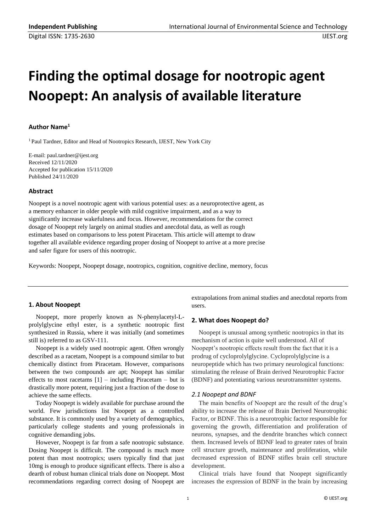# **Finding the optimal dosage for nootropic agent Noopept: An analysis of available literature**

# **Author Name<sup>1</sup>**

<sup>1</sup> Paul Tardner, Editor and Head of Nootropics Research, IJEST, New York City

E-mail: paul.tardner@ijest.org Received 12/11/2020 Accepted for publication 15/11/2020 Published 24/11/2020

# **Abstract**

Noopept is a novel nootropic agent with various potential uses: as a neuroprotective agent, as a memory enhancer in older people with mild cognitive impairment, and as a way to significantly increase wakefulness and focus. However, recommendations for the correct dosage of Noopept rely largely on animal studies and anecdotal data, as well as rough estimates based on comparisons to less potent Piracetam. This article will attempt to draw together all available evidence regarding proper dosing of Noopept to arrive at a more precise and safer figure for users of this nootropic.

Keywords: Noopept, Noopept dosage, nootropics, cognition, cognitive decline, memory, focus

# **1. About Noopept**

Noopept, more properly known as N-phenylacetyl-Lprolylglycine ethyl ester, is a synthetic nootropic first synthesized in Russia, where it was initially (and sometimes still is) referred to as GSV-111.

Noopept is a widely used nootropic agent. Often wrongly described as a racetam, Noopept is a compound similar to but chemically distinct from Piracetam. However, comparisons between the two compounds are apt; Noopept has similar effects to most racetams  $[1]$  – including Piracetam – but is drastically more potent, requiring just a fraction of the dose to achieve the same effects.

Today Noopept is widely available for purchase around the world. Few jurisdictions list Noopept as a controlled substance. It is commonly used by a variety of demographics, particularly college students and young professionals in cognitive demanding jobs.

However, Noopept is far from a safe nootropic substance. Dosing Noopept is difficult. The compound is much more potent than most nootropics; users typically find that just 10mg is enough to produce significant effects. There is also a dearth of robust human clinical trials done on Noopept. Most recommendations regarding correct dosing of Noopept are extrapolations from animal studies and anecdotal reports from users.

# **2. What does Noopept do?**

Noopept is unusual among synthetic nootropics in that its mechanism of action is quite well understood. All of Noopept's nootropic effects result from the fact that it is a prodrug of cycloprolylglycine. Cycloprolylglycine is a neuropeptide which has two primary neurological functions: stimulating the release of Brain derived Neurotrophic Factor (BDNF) and potentiating various neurotransmitter systems.

# *2.1 Noopept and BDNF*

The main benefits of Noopept are the result of the drug's ability to increase the release of Brain Derived Neurotrophic Factor, or BDNF. This is a neurotrophic factor responsible for governing the growth, differentiation and proliferation of neurons, synapses, and the dendrite branches which connect them. Increased levels of BDNF lead to greater rates of brain cell structure growth, maintenance and proliferation, while decreased expression of BDNF stifles brain cell structure development.

Clinical trials have found that Noopept significantly increases the expression of BDNF in the brain by increasing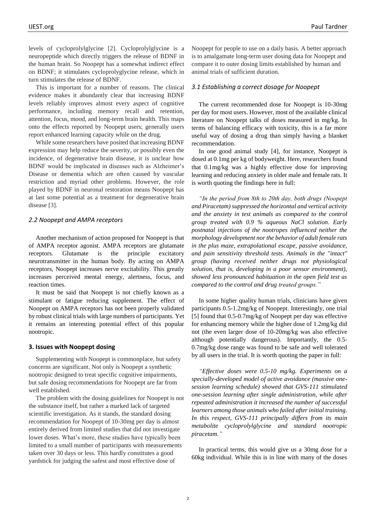levels of cycloprolylglycine [2]. Cycloprolylglycine is a neuropeptide which directly triggers the release of BDNF in the human brain. So Noopept has a somewhat indirect effect on BDNF; it stimulates cycloprolyglycine release, which in turn stimulates the release of BDNF.

This is important for a number of reasons. The clinical evidence makes it abundantly clear that increasing BDNF levels reliably improves almost every aspect of cognitive performance, including memory recall and retention, attention, focus, mood, and long-term brain health. This maps onto the effects reported by Noopept users; generally users report enhanced learning capacity while on the drug.

While some researchers have posited that increasing BDNF expression may help reduce the severity, or possibly even the incidence, of degenerative brain disease, it is unclear how BDNF would be implicated in diseases such as Alzheimer's Disease or dementia which are often caused by vascular restriction and myriad other problems. However, the role played by BDNF in neuronal restoration means Noopept has at last some potential as a treatment for degenerative brain disease [3].

# *2.2 Noopept and AMPA receptors*

Another mechanism of action proposed for Noopept is that of AMPA receptor agonist. AMPA receptors are glutamate receptors. Glutamate is the principle excitatory neurotransmitter in the human body. By acting on AMPA receptors, Noopept increases nerve excitability. This greatly increases perceived mental energy, alertness, focus, and reaction times.

It must be said that Noopept is not chiefly known as a stimulant or fatigue reducing supplement. The effect of Noopept on AMPA receptors has not been properly validated by robust clinical trials with large numbers of participants. Yet it remains an interesting potential effect of this popular nootropic.

#### **3. Issues with Noopept dosing**

Supplementing with Noopept is commonplace, but safety concerns are significant. Not only is Noopept a synthetic nootropic designed to treat specific cognitive impairments, but safe dosing recommendations for Noopept are far from well established.

The problem with the dosing guidelines for Noopept is not the substance itself, but rather a marked lack of targeted scientific investigation. As it stands, the standard dosing recommendation for Noopept of 10-30mg per day is almost entirely derived from limited studies that did not investigate lower doses. What's more, these studies have typically been limited to a small number of participants with measurements taken over 30 days or less. This hardly constitutes a good yardstick for judging the safest and most effective dose of

Noopept for people to use on a daily basis. A better approach is to amalgamate long-term user dosing data for Noopept and compare it to outer dosing limits established by human and animal trials of sufficient duration.

# *3.1 Establishing a correct dosage for Noopept*

The current recommended dose for Noopept is 10-30mg per day for most users. However, most of the available clinical literature on Noopept talks of doses measured in mg/kg. In terms of balancing efficacy with toxicity, this is a far more useful way of dosing a drug than simply having a blanket recommendation.

In one good animal study [4], for instance, Noopept is dosed at 0.1mg per kg of bodyweight. Here, researchers found that 0.1mg/kg was a highly effective dose for improving learning and reducing anxiety in older male and female rats. It is worth quoting the findings here in full:

*"In the period from 8th to 20th day, both drugs (Noopept and Piracetam) suppressed the horizontal and vertical activity and the anxiety in test animals as compared to the control group treated with 0.9 % aqueous NaCl solution. Early postnatal injections of the nootropes influenced neither the morphology development nor the behavior of adult female rats in the plus maze, extrapolational escape, passive avoidance, and pain sensitivity threshold tests. Animals in the "intact" group (having received neither drugs not physiological solution, that is, developing in a poor sensor environment), showed less pronounced habituation in the open field test as compared to the control and drug treated groups."*

In some higher quality human trials, clinicians have given participants 0.5-1.2mg/kg of Noopept. Interestingly, one trial [5] found that 0.5-0.7mg/kg of Noopept per day was effective for enhancing memory while the higher dose of 1.2mg/kg did not (the even larger dose of 10-20mg/kg was also effective although potentially dangerous). Importantly, the 0.5- 0.7mg/kg dose range was found to be safe and well tolerated by all users in the trial. It is worth quoting the paper in full:

*"Effective doses were 0.5-10 mg/kg. Experiments on a specially-developed model of active avoidance (massive onesession learning schedule) showed that GVS-111 stimulated one-session learning after single administration, while after repeated administration it increased the number of successful learners among those animals who failed after initial training. In this respect, GVS-111 principally differs from its main metabolite cycloprolylglycine and standard nootropic piracetam."*

In practical terms, this would give us a 30mg dose for a 60kg individual. While this is in line with many of the doses